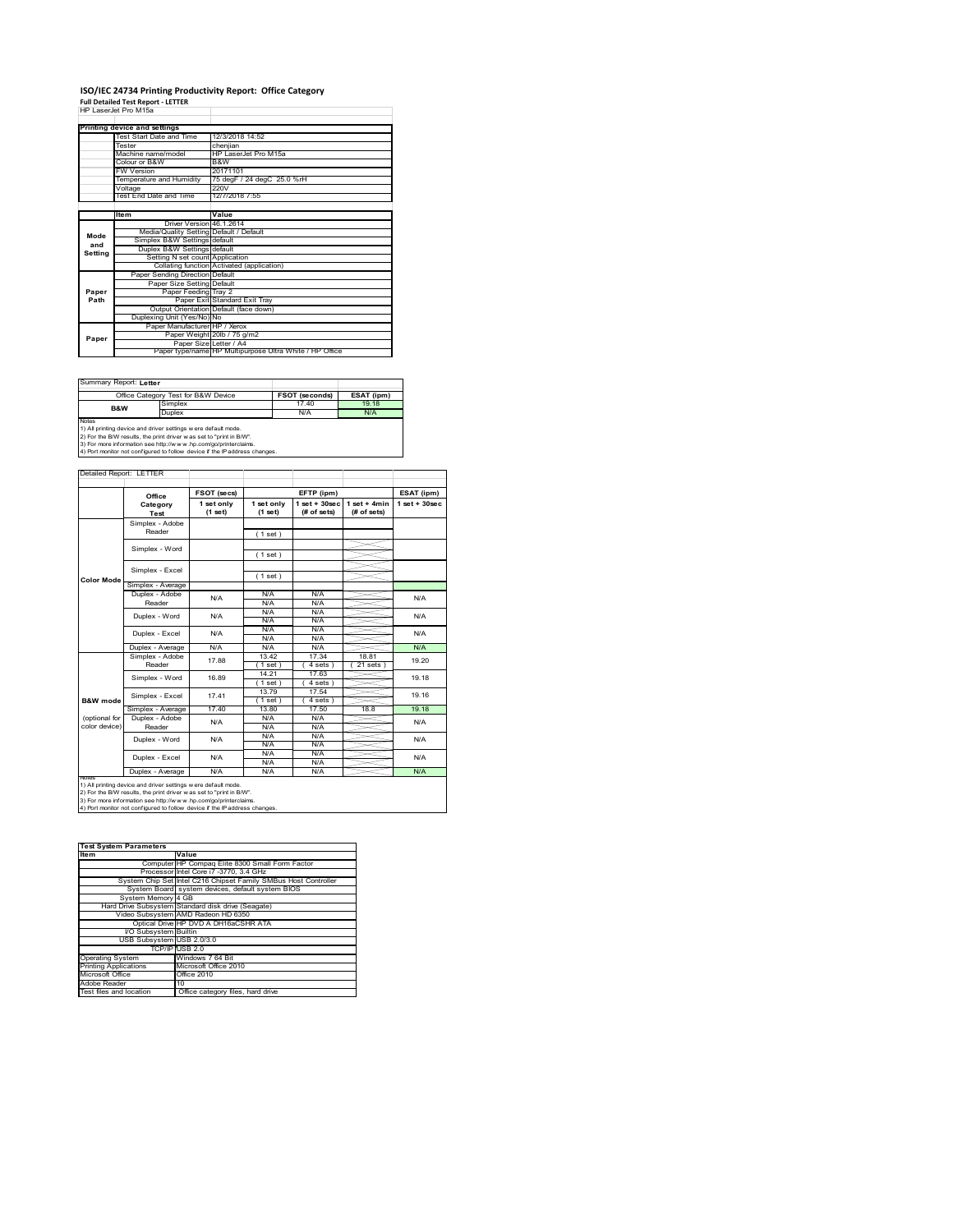# **ISO/IEC 24734 Printing Productivity Report: Office Category Full Detailed Test Report ‐ LETTER** HP LaserJet Pro M15a

|         | HP Laser let Pro M15a                   |                                                         |
|---------|-----------------------------------------|---------------------------------------------------------|
|         | Printing device and settings            |                                                         |
|         | Test Start Date and Time                | 12/3/2018 14:52                                         |
|         | Tester                                  | cheniian                                                |
|         | Machine name/model                      | HP LaserJet Pro M15a                                    |
|         | Colour or B&W                           | B&W                                                     |
|         | <b>FW Version</b>                       | 20171101                                                |
|         | Temperature and Humidity                | 75 degF / 24 degC 25.0 %rH                              |
|         | Voltage                                 | 220V                                                    |
|         | Test End Date and Time                  | 12/7/2018 7:55                                          |
|         |                                         |                                                         |
|         | Item                                    | Value                                                   |
|         | Driver Version 46.1.2614                |                                                         |
| Mode    | Media/Quality Setting Default / Default |                                                         |
| and     | Simplex B&W Settings default            |                                                         |
| Setting | Duplex B&W Settings default             |                                                         |
|         | Setting N set count Application         |                                                         |
|         |                                         | Collating function Activated (application)              |
|         | Paper Sending Direction Default         |                                                         |
|         | Paper Size Setting Default              |                                                         |
| Paper   | Paper Feeding Tray 2                    |                                                         |
| Path    |                                         | Paper Exit Standard Exit Tray                           |
|         |                                         | Output Orientation Default (face down)                  |
|         | Duplexing Unit (Yes/No) No              |                                                         |
|         | Paper Manufacturer HP / Xerox           |                                                         |
| Paper   |                                         | Paper Weight 20lb / 75 g/m2                             |
|         | Paper Size Letter / A4                  |                                                         |
|         |                                         | Paper type/name HP Multipurpose Ultra White / HP Office |

Summary Report: **Letter**

|                                                                | Office Category Test for B&W Device | <b>FSOT (seconds)</b> | ESAT (ipm) |  |  |  |
|----------------------------------------------------------------|-------------------------------------|-----------------------|------------|--|--|--|
| <b>B&amp;W</b>                                                 | Simplex                             | 1740                  | 19 18      |  |  |  |
|                                                                | Duplex                              | N/A                   | N/A        |  |  |  |
| Notes                                                          |                                     |                       |            |  |  |  |
| 1) All printing device and driver settings w ere default mode. |                                     |                       |            |  |  |  |
|                                                                |                                     |                       |            |  |  |  |

1) All printing device and driver settings were default mode.<br>2) For the B/W results, the print driver was set to "print in B/W".<br>3) For more information see http://www.hp.com/go/printerclaims.<br>4) Port monitor not configur

|                     | Office                                                                                                                                | FSOT (secs)           |                       | EFTP (ipm)                      |                                | ESAT (ipm)         |  |
|---------------------|---------------------------------------------------------------------------------------------------------------------------------------|-----------------------|-----------------------|---------------------------------|--------------------------------|--------------------|--|
|                     | Category<br>Test                                                                                                                      | 1 set only<br>(1 set) | 1 set only<br>(1 set) | $1 set + 30 sec$<br>(# of sets) | $1 set + 4 min$<br>(# of sets) | $1$ set + $30$ sec |  |
|                     | Simplex - Adobe                                                                                                                       |                       |                       |                                 |                                |                    |  |
|                     | Reader                                                                                                                                |                       | (1 set)               |                                 |                                |                    |  |
|                     |                                                                                                                                       |                       |                       |                                 |                                |                    |  |
|                     | Simplex - Word                                                                                                                        |                       | (1 set)               |                                 |                                |                    |  |
|                     | Simplex - Excel                                                                                                                       |                       |                       |                                 |                                |                    |  |
| Color Mode          |                                                                                                                                       |                       | (1 set)               |                                 |                                |                    |  |
|                     | Simplex - Average                                                                                                                     |                       |                       |                                 |                                |                    |  |
|                     | Duplex - Adobe                                                                                                                        | N/A                   | N/A                   | N/A                             |                                | N/A                |  |
|                     | Reader                                                                                                                                |                       | N/A                   | N/A                             |                                |                    |  |
|                     | Duplex - Word                                                                                                                         | N/A                   | N/A                   | N/A                             |                                | N/A                |  |
|                     |                                                                                                                                       |                       | N/A                   | N/A                             |                                |                    |  |
|                     | Duplex - Excel                                                                                                                        | N/A                   | N/A                   | N/A                             |                                | N/A                |  |
|                     |                                                                                                                                       |                       | N/A                   | N/A                             |                                |                    |  |
|                     | Duplex - Average                                                                                                                      | N/A                   | N/A                   | N/A                             |                                | N/A                |  |
|                     | Simplex - Adobe<br>Reader                                                                                                             | 17.88                 | 13.42                 | 17.34                           | 18.81                          | 19.20<br>19 18     |  |
|                     |                                                                                                                                       |                       | $1$ set $)$           | 4 sets                          | 21 sets                        |                    |  |
|                     | Simplex - Word                                                                                                                        | 16.89                 | 14.21                 | 17.63                           |                                |                    |  |
|                     |                                                                                                                                       |                       | (1 set)               | 4 sets                          |                                |                    |  |
|                     | Simplex - Excel                                                                                                                       | 1741                  | 13.79                 | 17.54                           |                                | 19 16              |  |
| <b>B&amp;W</b> mode |                                                                                                                                       |                       | 1 set                 | 4 sets                          |                                |                    |  |
|                     | Simplex - Average                                                                                                                     | 1740                  | 13.80                 | 17.50                           | 18.8                           | 19.18              |  |
| (optional for       | Duplex - Adobe                                                                                                                        | N/A                   | N/A                   | N/A                             |                                | N/A                |  |
| color device)       | Reader                                                                                                                                |                       | N/A                   | N/A                             |                                |                    |  |
|                     | Duplex - Word                                                                                                                         | N/A                   | N/A                   | N/A                             |                                | N/A                |  |
|                     |                                                                                                                                       |                       | N/A                   | N/A                             |                                |                    |  |
|                     | Duplex - Excel                                                                                                                        | N/A                   | N/A                   | N/A                             |                                | N/A                |  |
|                     |                                                                                                                                       |                       | N/A                   | N/A                             |                                |                    |  |
|                     | Duplex - Average                                                                                                                      | N/A                   | N/A                   | N/A                             |                                | N/A                |  |
| <b>NOtes</b>        | 1) All printing device and driver settings w ere default mode.<br>2) For the B/W results, the print driver was set to "print in B/W". |                       |                       |                                 |                                |                    |  |

| <b>Test System Parameters</b> |                                                                 |
|-------------------------------|-----------------------------------------------------------------|
| <b>Item</b>                   | Value                                                           |
|                               | Computer HP Compaq Elite 8300 Small Form Factor                 |
|                               | Processor Intel Core i7 -3770, 3.4 GHz                          |
|                               | System Chip Set Intel C216 Chipset Family SMBus Host Controller |
|                               | System Board system devices, default system BIOS                |
| System Memory 4 GB            |                                                                 |
|                               | Hard Drive Subsystem Standard disk drive (Seagate)              |
|                               | Video Subsystem AMD Radeon HD 6350                              |
|                               | Optical Drive HP DVD A DH16aCSHR ATA                            |
| I/O Subsystem Builtin         |                                                                 |
| USB Subsystem USB 2.0/3.0     |                                                                 |
|                               | TCP/IP USB 2.0                                                  |
| <b>Operating System</b>       | Windows 7 64 Bit                                                |
| <b>Printing Applications</b>  | Microsoft Office 2010                                           |
| Microsoft Office              | Office 2010                                                     |
| Adobe Reader                  | 10                                                              |
| Test files and location       | Office category files, hard drive                               |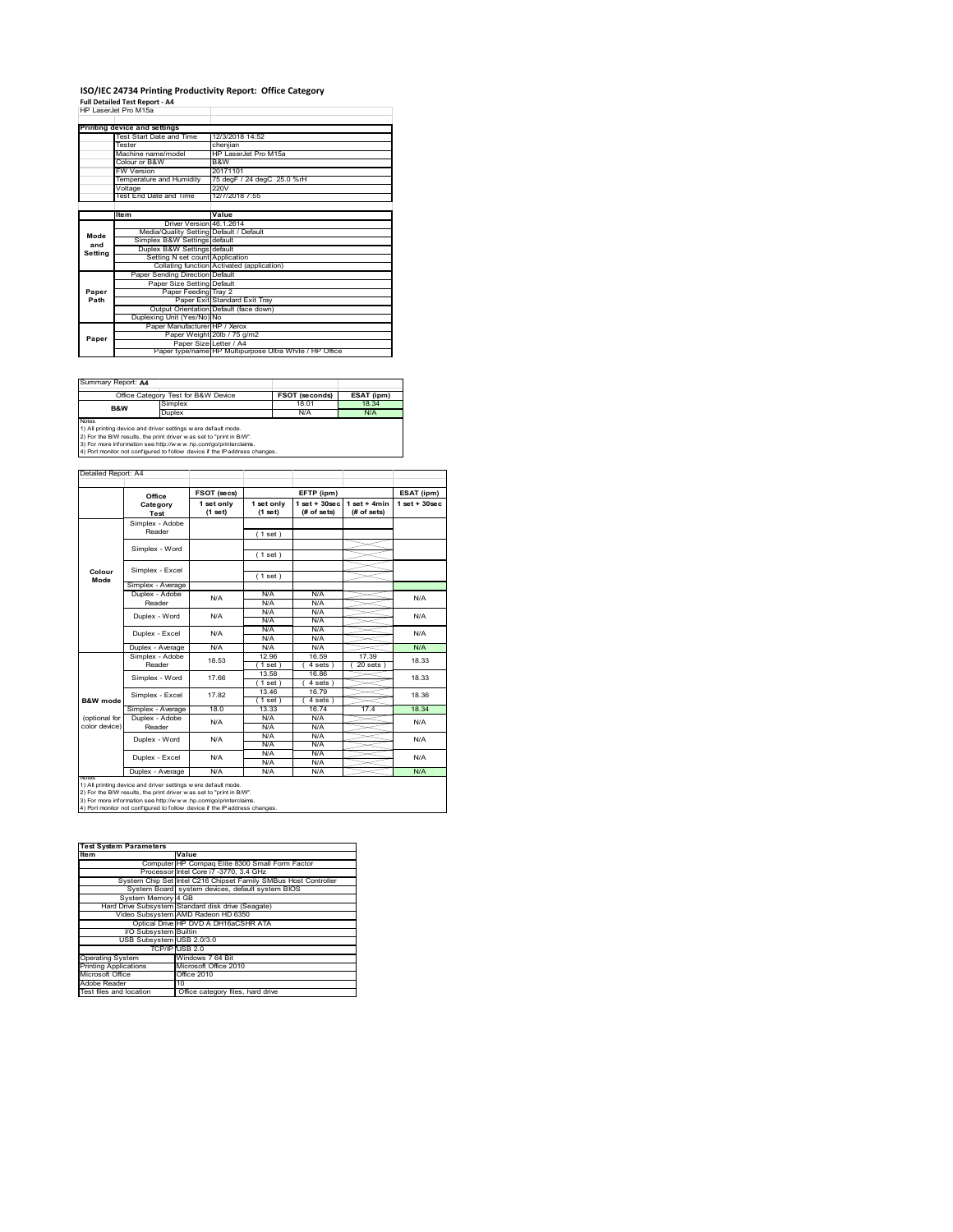### **ISO/IEC 24734 Printing Productivity Report: Office Category Full Detailed Test Report ‐ A4** HP LaserJet Pro M15a

|         | HP LaserJet Pro M15a                    |                                                         |
|---------|-----------------------------------------|---------------------------------------------------------|
|         | Printing device and settings            |                                                         |
|         | Test Start Date and Time                | 12/3/2018 14:52                                         |
|         | Tester                                  | cheniian                                                |
|         | Machine name/model                      | HP LaserJet Pro M15a                                    |
|         | Colour or B&W                           | B&W                                                     |
|         | <b>FW Version</b>                       | 20171101                                                |
|         | Temperature and Humidity                | 75 degF / 24 degC 25.0 %rH                              |
|         | Voltage                                 | 220V                                                    |
|         | Test End Date and Time                  | 12/7/2018 7:55                                          |
|         |                                         |                                                         |
|         | ltem                                    | Value                                                   |
|         | Driver Version 46 1 2614                |                                                         |
| Mode    | Media/Quality Setting Default / Default |                                                         |
| and     | Simplex B&W Settings default            |                                                         |
| Setting | Duplex B&W Settings default             |                                                         |
|         | Setting N set count Application         |                                                         |
|         |                                         | Collating function Activated (application)              |
|         | Paper Sending Direction Default         |                                                         |
|         | Paper Size Setting Default              |                                                         |
| Paper   | Paper Feeding Tray 2                    |                                                         |
| Path    |                                         | Paper Exit Standard Exit Tray                           |
|         |                                         | Output Orientation Default (face down)                  |
|         | Duplexing Unit (Yes/No) No              |                                                         |
|         | Paper Manufacturer HP / Xerox           | Paper Weight 20lb / 75 g/m2                             |
| Paper   |                                         |                                                         |
|         | Paper Size Letter / A4                  | Paper type/name HP Multipurpose Ultra White / HP Office |
|         |                                         |                                                         |

Summary Report: **A4**

| PQQUIIIIII.                                                    |                                     |                       |            |  |  |  |
|----------------------------------------------------------------|-------------------------------------|-----------------------|------------|--|--|--|
|                                                                | Office Category Test for B&W Device | <b>FSOT (seconds)</b> | ESAT (ipm) |  |  |  |
| B&W                                                            | Simplex                             | 18.01                 | 18.34      |  |  |  |
|                                                                | Duplex                              | N/A                   | N/A        |  |  |  |
| <b>Notes</b>                                                   |                                     |                       |            |  |  |  |
| 1) All printing device and driver settings w ere default mode. |                                     |                       |            |  |  |  |
|                                                                |                                     |                       |            |  |  |  |

1) All printing device and driver settings were default mode.<br>2) For the B/W results, the print driver was set to "print in B/W".<br>3) For more information see http://www.hp.com/go/printerclaims.<br>4) Port monitor not configur

|                                | Office                    | FSOT (secs)           |                       | EFTP (ipm)                       |                               | ESAT (ipm)         |
|--------------------------------|---------------------------|-----------------------|-----------------------|----------------------------------|-------------------------------|--------------------|
|                                | Category<br>Test          | 1 set only<br>(1 set) | 1 set only<br>(1 set) | $1$ set $+30$ sec<br>(# of sets) | $1$ set + 4min<br>(# of sets) | $1$ set + $30$ sec |
|                                | Simplex - Adobe<br>Reader |                       | (1 set)               |                                  |                               |                    |
|                                | Simplex - Word            |                       | (1 set)               |                                  |                               |                    |
| Colour<br>Mode                 | Simplex - Excel           |                       | (1 set)               |                                  |                               |                    |
|                                | Simplex - Average         |                       |                       |                                  |                               |                    |
|                                | Duplex - Adobe<br>Reader  | N/A                   | N/A<br>N/A            | N/A<br>N/A                       |                               | N/A                |
|                                | Duplex - Word             | N/A                   | N/A<br>N/A            | N/A<br>N/A                       |                               | N/A                |
|                                | Duplex - Excel            | N/A                   | N/A<br>N/A            | N/A<br>N/A                       |                               | N/A                |
|                                | Duplex - Average          | N/A                   | N/A                   | N/A                              |                               | N/A                |
|                                | Simplex - Adobe<br>Reader | 18.53                 | 12.96<br>1 set )      | 16.59<br>4 sets 1                | 17.39<br>$20$ sets $)$        | 18.33              |
|                                | Simplex - Word            | 17.66                 | 13.58<br>$1$ set)     | 16.86<br>4 sets)                 |                               | 18.33              |
| B&W mode                       | Simplex - Excel           | 1782                  | 13.46<br>$1$ set)     | 16.79<br>$4 sets$ )              |                               | 18.36              |
|                                | Simplex - Average         | 18.0                  | 13.33                 | 16.74                            | 17.4                          | 18.34              |
| (optional for<br>color device) | Duplex - Adobe<br>Reader  | N/A                   | N/A<br>N/A            | N/A<br>N/A                       |                               | N/A                |
|                                | Duplex - Word             | N/A                   | N/A<br>N/A            | N/A<br>N/A                       |                               | N/A                |
|                                | Duplex - Excel            | N/A                   | N/A<br>N/A            | N/A<br>N/A                       |                               | N/A                |
|                                | Duplex - Average          | N/A                   | N/A                   | N/A                              |                               | N/A                |

1) All printing device and driver settings were default mode.<br>2) For the B/W results, the print driver was set to "print in B/W".<br>3) For more information see http://www.hp.com/go/printerclaims.<br>4) Port monitor not configur

| <b>Test System Parameters</b> |                                                                 |  |  |  |
|-------------------------------|-----------------------------------------------------------------|--|--|--|
| <b>Item</b>                   | Value                                                           |  |  |  |
|                               | Computer HP Compaq Elite 8300 Small Form Factor                 |  |  |  |
|                               | Processor Intel Core i7 -3770, 3.4 GHz                          |  |  |  |
|                               | System Chip Set Intel C216 Chipset Family SMBus Host Controller |  |  |  |
|                               | System Board system devices, default system BIOS                |  |  |  |
| System Memory 4 GB            |                                                                 |  |  |  |
|                               | Hard Drive Subsystem Standard disk drive (Seagate)              |  |  |  |
|                               | Video Subsystem AMD Radeon HD 6350                              |  |  |  |
|                               | Optical Drive HP DVD A DH16aCSHR ATA                            |  |  |  |
| <b>VO Subsystem Builtin</b>   |                                                                 |  |  |  |
| USB Subsystem USB 2.0/3.0     |                                                                 |  |  |  |
|                               | TCP/IP USB 2.0                                                  |  |  |  |
| <b>Operating System</b>       | Windows 7 64 Bit                                                |  |  |  |
| <b>Printing Applications</b>  | Microsoft Office 2010                                           |  |  |  |
| Microsoft Office              | Office 2010                                                     |  |  |  |
| Adobe Reader                  | 10                                                              |  |  |  |
| Test files and location       | Office category files, hard drive                               |  |  |  |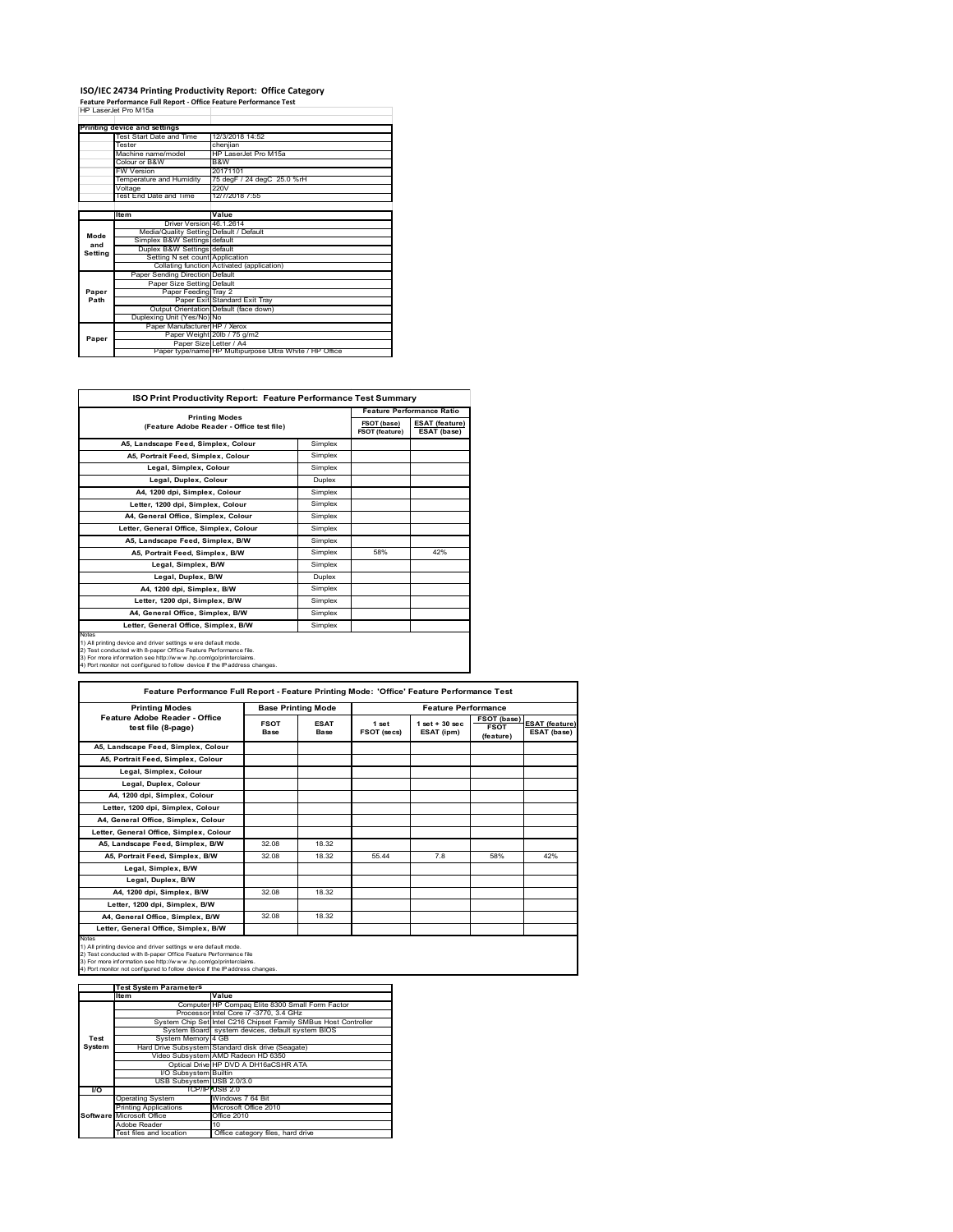## **ISO/IEC 24734 Printing Productivity Report: Office Category Feature Performance Full Report ‐ Office Feature Performance Test** HP LaserJet Pro M15a

|                        | reature renormance run neport - onnee reature renormance rest |                                                         |
|------------------------|---------------------------------------------------------------|---------------------------------------------------------|
|                        | HP Laser let Pro M15a                                         |                                                         |
|                        |                                                               |                                                         |
|                        | Printing device and settings                                  |                                                         |
|                        | Test Start Date and Time                                      | 12/3/2018 14:52                                         |
|                        | Tester                                                        | cheniian                                                |
|                        | Machine name/model                                            | HP LaserJet Pro M15a                                    |
|                        | Colour or B&W                                                 | B&W                                                     |
|                        | <b>FW Version</b>                                             | 20171101                                                |
|                        | Temperature and Humidity                                      | 75 degF / 24 degC 25.0 %rH                              |
|                        | Voltage                                                       | 220V                                                    |
|                        | Test End Date and Time                                        | 12/7/2018 7:55                                          |
|                        |                                                               |                                                         |
|                        | ltem                                                          | Value                                                   |
| Mode<br>and<br>Setting | Driver Version 46 1 2614                                      |                                                         |
|                        | Media/Quality Setting Default / Default                       |                                                         |
|                        | Simplex B&W Settings default                                  |                                                         |
|                        | Duplex B&W Settings default                                   |                                                         |
|                        | Setting N set count Application                               |                                                         |
|                        |                                                               | Collating function Activated (application)              |
|                        | Paper Sending Direction Default                               |                                                         |
|                        | Paper Size Setting Default                                    |                                                         |
| Paper                  | Paper Feeding Tray 2                                          |                                                         |
| Path                   |                                                               | Paper Exit Standard Exit Tray                           |
|                        |                                                               | Output Orientation Default (face down)                  |
|                        | Duplexing Unit (Yes/No) No                                    |                                                         |
|                        | Paper Manufacturer HP / Xerox                                 |                                                         |
| Paper                  |                                                               | Paper Weight 20lb / 75 g/m2                             |
|                        | Paper Size Letter / A4                                        |                                                         |
|                        |                                                               | Paper type/name HP Multipurpose Ultra White / HP Office |

| <b>ISO Print Productivity Report: Feature Performance Test Summary</b>                                                                                                                                                                                                                      |               |                                      |                                      |  |  |
|---------------------------------------------------------------------------------------------------------------------------------------------------------------------------------------------------------------------------------------------------------------------------------------------|---------------|--------------------------------------|--------------------------------------|--|--|
| <b>Printing Modes</b>                                                                                                                                                                                                                                                                       |               | <b>Feature Performance Ratio</b>     |                                      |  |  |
| (Feature Adobe Reader - Office test file)                                                                                                                                                                                                                                                   |               | FSOT (base)<br><b>FSOT (feature)</b> | <b>ESAT (feature)</b><br>ESAT (base) |  |  |
| A5, Landscape Feed, Simplex, Colour                                                                                                                                                                                                                                                         | Simplex       |                                      |                                      |  |  |
| A5. Portrait Feed. Simplex. Colour                                                                                                                                                                                                                                                          | Simplex       |                                      |                                      |  |  |
| Legal, Simplex, Colour                                                                                                                                                                                                                                                                      | Simplex       |                                      |                                      |  |  |
| Legal, Duplex, Colour                                                                                                                                                                                                                                                                       | <b>Duplex</b> |                                      |                                      |  |  |
| A4, 1200 dpi, Simplex, Colour                                                                                                                                                                                                                                                               | Simplex       |                                      |                                      |  |  |
| Letter, 1200 dpi. Simplex, Colour                                                                                                                                                                                                                                                           | Simplex       |                                      |                                      |  |  |
| A4, General Office, Simplex, Colour                                                                                                                                                                                                                                                         | Simplex       |                                      |                                      |  |  |
| Letter, General Office, Simplex, Colour                                                                                                                                                                                                                                                     | Simplex       |                                      |                                      |  |  |
| A5, Landscape Feed, Simplex, B/W                                                                                                                                                                                                                                                            | Simplex       |                                      |                                      |  |  |
| A5, Portrait Feed, Simplex, B/W                                                                                                                                                                                                                                                             | Simplex       | 58%                                  | 42%                                  |  |  |
| Legal, Simplex, B/W                                                                                                                                                                                                                                                                         | Simplex       |                                      |                                      |  |  |
| Legal, Duplex, B/W                                                                                                                                                                                                                                                                          | <b>Duplex</b> |                                      |                                      |  |  |
| A4, 1200 dpi, Simplex, B/W                                                                                                                                                                                                                                                                  | Simplex       |                                      |                                      |  |  |
| Letter, 1200 dpi, Simplex, B/W                                                                                                                                                                                                                                                              | Simplex       |                                      |                                      |  |  |
| A4. General Office. Simplex. B/W                                                                                                                                                                                                                                                            | Simplex       |                                      |                                      |  |  |
| Letter, General Office, Simplex, B/W                                                                                                                                                                                                                                                        | Simplex       |                                      |                                      |  |  |
| Notes<br>1) All printing device and driver settings w ere default mode.<br>2) Test conducted with 8-paper Office Feature Performance file.<br>3) For more information see http://www.hp.com/go/printerclaims.<br>4) Port monitor not configured to follow device if the IP address changes. |               |                                      |                                      |  |  |

| <b>Printing Modes</b>                               | <b>Base Printing Mode</b> |                            | <b>Feature Performance</b> |                                  |                                         |                                      |
|-----------------------------------------------------|---------------------------|----------------------------|----------------------------|----------------------------------|-----------------------------------------|--------------------------------------|
| Feature Adobe Reader - Office<br>test file (8-page) | <b>FSOT</b><br>Base       | <b>ESAT</b><br><b>Base</b> | 1 set<br>FSOT (secs)       | $1$ set $+30$ sec.<br>ESAT (ipm) | FSOT (base)<br><b>FSOT</b><br>(feature) | <b>ESAT (feature)</b><br>ESAT (base) |
| A5, Landscape Feed, Simplex, Colour                 |                           |                            |                            |                                  |                                         |                                      |
| A5, Portrait Feed, Simplex, Colour                  |                           |                            |                            |                                  |                                         |                                      |
| Legal, Simplex, Colour                              |                           |                            |                            |                                  |                                         |                                      |
| Legal, Duplex, Colour                               |                           |                            |                            |                                  |                                         |                                      |
| A4, 1200 dpi, Simplex, Colour                       |                           |                            |                            |                                  |                                         |                                      |
| Letter, 1200 dpi, Simplex, Colour                   |                           |                            |                            |                                  |                                         |                                      |
| A4, General Office, Simplex, Colour                 |                           |                            |                            |                                  |                                         |                                      |
| Letter, General Office, Simplex, Colour             |                           |                            |                            |                                  |                                         |                                      |
| A5, Landscape Feed, Simplex, B/W                    | 32.08                     | 18.32                      |                            |                                  |                                         |                                      |
| A5. Portrait Feed. Simplex. B/W                     | 32.08                     | 18.32                      | 55.44                      | 7.8                              | 58%                                     | 42%                                  |
| Legal, Simplex, B/W                                 |                           |                            |                            |                                  |                                         |                                      |
| Legal, Duplex, B/W                                  |                           |                            |                            |                                  |                                         |                                      |
| A4. 1200 dpi. Simplex. B/W                          | 32.08                     | 18.32                      |                            |                                  |                                         |                                      |
| Letter, 1200 dpi, Simplex, B/W                      |                           |                            |                            |                                  |                                         |                                      |
| A4, General Office, Simplex, B/W                    | 32.08                     | 18.32                      |                            |                                  |                                         |                                      |
| Letter, General Office, Simplex, B/W                |                           |                            |                            |                                  |                                         |                                      |

|        | <b>Test System Parameters</b> |                                                                 |  |  |
|--------|-------------------------------|-----------------------------------------------------------------|--|--|
|        | Item                          | Value                                                           |  |  |
|        |                               | Computer HP Compaq Elite 8300 Small Form Factor                 |  |  |
|        |                               | Processor Intel Core i7 -3770, 3.4 GHz                          |  |  |
|        |                               | System Chip Set Intel C216 Chipset Family SMBus Host Controller |  |  |
|        |                               | System Board system devices, default system BIOS                |  |  |
| Test   | System Memory 4 GB            |                                                                 |  |  |
| System |                               | Hard Drive Subsystem Standard disk drive (Seagate)              |  |  |
|        |                               | Video Subsystem AMD Radeon HD 6350                              |  |  |
|        |                               | Optical Drive HP DVD A DH16aCSHR ATA                            |  |  |
|        | I/O Subsystem Builtin         |                                                                 |  |  |
|        | USB Subsystem USB 2.0/3.0     |                                                                 |  |  |
| VO.    |                               | TCP/IPIUSB 2.0                                                  |  |  |
|        | <b>Operating System</b>       | Windows 7 64 Bit                                                |  |  |
|        | <b>Printing Applications</b>  | Microsoft Office 2010                                           |  |  |
|        | Software Microsoft Office     | Office 2010                                                     |  |  |
|        | Adobe Reader                  | 10                                                              |  |  |
|        | Test files and location       | Office category files, hard drive                               |  |  |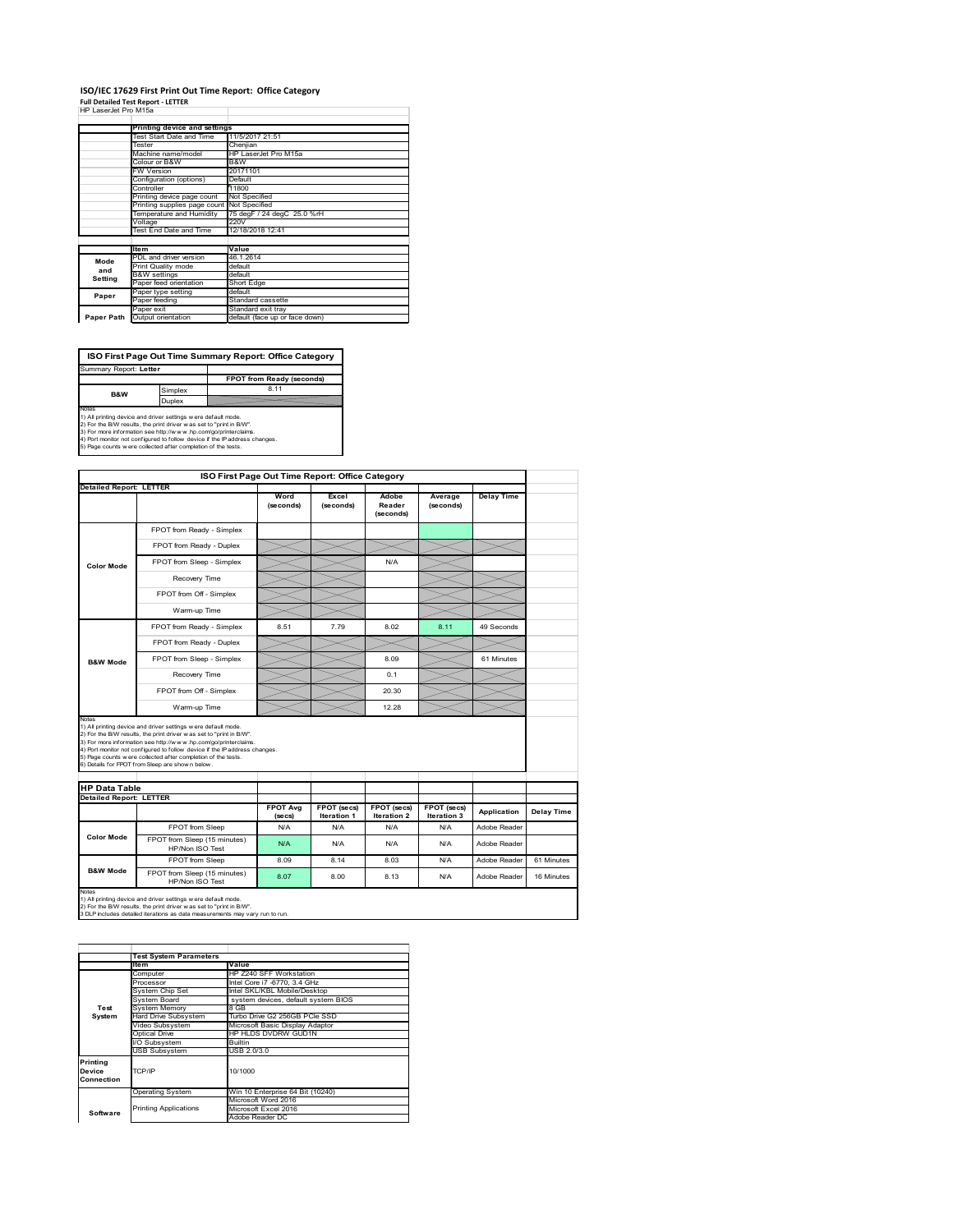### **ISO/IEC 17629 First Print Out Time Report: Office Category**

| <b>Full Detailed Test Report - LETTER</b> |  |
|-------------------------------------------|--|
| HP LaserJet Pro M15a                      |  |

|            | Printing device and settings               |                                |
|------------|--------------------------------------------|--------------------------------|
|            | Test Start Date and Time                   | 11/5/2017 21:51                |
|            | Tester                                     | Cheniian                       |
|            | Machine name/model                         | HP LaserJet Pro M15a           |
|            | Colour or B&W                              | B&W                            |
|            | FW Version                                 | 20171101                       |
|            | Configuration (options)                    | Default                        |
|            | Controller                                 | 11800                          |
|            | Printing device page count                 | Not Specified                  |
|            | Printing supplies page count Not Specified |                                |
|            | Temperature and Humidity                   | 75 degF / 24 degC 25.0 %rH     |
|            | Voltage                                    | 220V                           |
|            | Test End Date and Time                     | 12/18/2018 12:41               |
|            |                                            |                                |
|            | <b>Item</b>                                | Value                          |
| Mode       | PDL and driver version                     | 46.1.2614                      |
|            | Print Quality mode                         | default                        |
| and        | <b>B&amp;W</b> settings                    | default                        |
| Setting    | Paper feed orientation                     | Short Edge                     |
|            | Paper type setting                         | default                        |
| Paper      | Paper feeding                              | Standard cassette              |
|            | Paper exit                                 | Standard exit tray             |
| Paper Path | Output orientation                         | default (face up or face down) |
|            |                                            |                                |

**ISO First Page Out Time Summary Report: Office Category** rt: **Letter** 

**FPOT from Ready (seconds)**<br>Simplex 8.11 **Duplex**<br>Notes<br>1) All printing device and driver settings were default mode.<br>2) For the BM results, the print driver was set to "print in BM".<br>4) For more information see http://www.hp.com/golprinterclaims.<br>4) Port monitor **B&W**

|                                |                                                                                                                                                                                                                                                                                                                                                                                                             | ISO First Page Out Time Report: Office Category |                    |                              |                      |                              |            |
|--------------------------------|-------------------------------------------------------------------------------------------------------------------------------------------------------------------------------------------------------------------------------------------------------------------------------------------------------------------------------------------------------------------------------------------------------------|-------------------------------------------------|--------------------|------------------------------|----------------------|------------------------------|------------|
| <b>Detailed Report: LETTER</b> |                                                                                                                                                                                                                                                                                                                                                                                                             | Word<br>(seconds)                               | Excel<br>(seconds) | Adobe<br>Reader<br>(seconds) | Average<br>(seconds) | <b>Delay Time</b>            |            |
|                                | FPOT from Ready - Simplex                                                                                                                                                                                                                                                                                                                                                                                   |                                                 |                    |                              |                      |                              |            |
|                                | FPOT from Ready - Duplex                                                                                                                                                                                                                                                                                                                                                                                    |                                                 |                    |                              |                      |                              |            |
| <b>Color Mode</b>              | FPOT from Sleep - Simplex                                                                                                                                                                                                                                                                                                                                                                                   |                                                 |                    | N/A                          |                      |                              |            |
|                                | Recovery Time                                                                                                                                                                                                                                                                                                                                                                                               |                                                 |                    |                              |                      |                              |            |
|                                | FPOT from Off - Simplex                                                                                                                                                                                                                                                                                                                                                                                     |                                                 |                    |                              |                      |                              |            |
|                                | Warm-up Time                                                                                                                                                                                                                                                                                                                                                                                                |                                                 |                    |                              |                      |                              |            |
|                                | FPOT from Ready - Simplex                                                                                                                                                                                                                                                                                                                                                                                   | 8.51                                            | 7 7 9              | 8.02                         | 8.11                 | 49 Seconds                   |            |
|                                | FPOT from Ready - Duplex                                                                                                                                                                                                                                                                                                                                                                                    |                                                 |                    |                              |                      |                              |            |
| <b>B&amp;W Mode</b>            | FPOT from Sleep - Simplex                                                                                                                                                                                                                                                                                                                                                                                   |                                                 |                    | 8.09                         |                      | 61 Minutes                   |            |
|                                | Recovery Time                                                                                                                                                                                                                                                                                                                                                                                               |                                                 |                    | 0.1                          |                      |                              |            |
|                                |                                                                                                                                                                                                                                                                                                                                                                                                             |                                                 |                    |                              |                      |                              |            |
|                                | FPOT from Off - Simplex                                                                                                                                                                                                                                                                                                                                                                                     |                                                 |                    | 20.30                        |                      |                              |            |
| Notes                          | Warm-up Time                                                                                                                                                                                                                                                                                                                                                                                                |                                                 |                    | 12.28                        |                      |                              |            |
| <b>HP Data Table</b>           | 1) All printing device and driver settings w ere default mode.<br>2) For the B/W results, the print driver was set to "print in B/W".<br>3) For more information see http://www.hp.com/go/printerclaims.<br>4) Port monitor not configured to follow device if the IP address changes.<br>5) Page counts w ere collected after completion of the tests.<br>6) Details for FPOT from Sleep are show n below. |                                                 |                    |                              |                      |                              |            |
| <b>Detailed Report: LETTER</b> |                                                                                                                                                                                                                                                                                                                                                                                                             | <b>FPOT Avg</b>                                 | FPOT (secs)        | FPOT (secs)                  | FPOT (secs)          |                              |            |
|                                |                                                                                                                                                                                                                                                                                                                                                                                                             | (se cs)                                         | <b>Iteration 1</b> | <b>Iteration 2</b>           | Iteration 3          | Application                  | Delay Time |
| <b>Color Mode</b>              | FPOT from Sleep<br>FPOT from Sleep (15 minutes)<br>HP/Non ISO Test                                                                                                                                                                                                                                                                                                                                          | N/A<br>N/A                                      | N/A<br>N/A         | N/A<br>N/A                   | N/A<br>N/A           | Adobe Reader<br>Adobe Reader |            |
|                                | FPOT from Sleep                                                                                                                                                                                                                                                                                                                                                                                             | 8.09                                            | 8.14               | 8.03                         | N/A                  | Adobe Reader                 | 61 Minutes |

1) All printing device and driver settings w ere default mode.<br>2) For the B/W results, the print driver w as set to "print in B/W".<br>3 DLP includes detailed iterations as data measurements may vary run to run.

|            | <b>Test System Parameters</b> |                                     |  |  |
|------------|-------------------------------|-------------------------------------|--|--|
|            | Item                          | Value                               |  |  |
|            | Computer                      | HP Z240 SFF Workstation             |  |  |
|            | Processor                     | Intel Core i7 -6770, 3.4 GHz        |  |  |
|            | System Chip Set               | Intel SKL/KBL Mobile/Desktop        |  |  |
|            | System Board                  | system devices, default system BIOS |  |  |
| Test       | <b>System Memory</b>          | 8 GB                                |  |  |
| System     | <b>Hard Drive Subsystem</b>   | Turbo Drive G2 256GB PCle SSD       |  |  |
|            | Video Subsystem               | Microsoft Basic Display Adaptor     |  |  |
|            | Optical Drive                 | HP HLDS DVDRW GUD1N                 |  |  |
|            | I/O Subsystem                 | Builtin                             |  |  |
|            | <b>USB Subsystem</b>          | USB 2.0/3.0                         |  |  |
| Printing   |                               |                                     |  |  |
| Device     | TCP/IP                        | 10/1000                             |  |  |
| Connection |                               |                                     |  |  |
|            |                               |                                     |  |  |
|            | <b>Operating System</b>       | Win 10 Enterprise 64 Bit (10240)    |  |  |
|            |                               | Microsoft Word 2016                 |  |  |
| Software   | <b>Printing Applications</b>  | Microsoft Excel 2016                |  |  |
|            |                               | Adobe Reader DC                     |  |  |